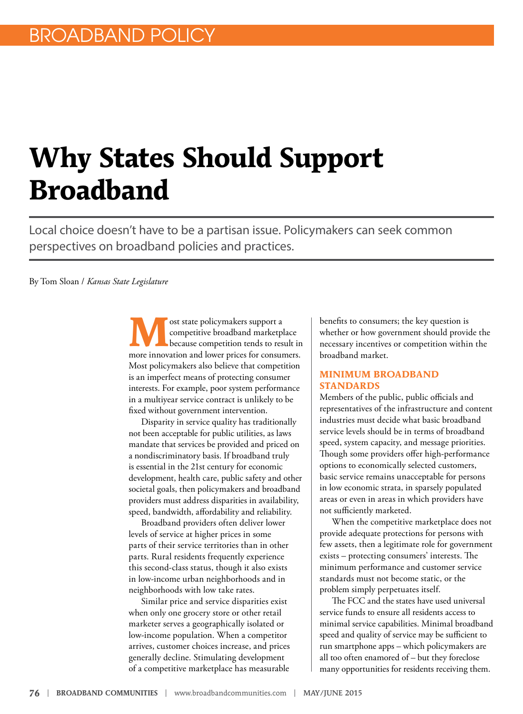# **Why States Should Support Broadband**

Local choice doesn't have to be a partisan issue. Policymakers can seek common perspectives on broadband policies and practices.

By Tom Sloan / *Kansas State Legislature*

ost state policymakers support a<br>
competitive broadband marketpl<br>
because competition tends to res competitive broadband marketplace because competition tends to result in more innovation and lower prices for consumers. Most policymakers also believe that competition is an imperfect means of protecting consumer interests. For example, poor system performance in a multiyear service contract is unlikely to be fixed without government intervention.

Disparity in service quality has traditionally not been acceptable for public utilities, as laws mandate that services be provided and priced on a nondiscriminatory basis. If broadband truly is essential in the 21st century for economic development, health care, public safety and other societal goals, then policymakers and broadband providers must address disparities in availability, speed, bandwidth, affordability and reliability.

Broadband providers often deliver lower levels of service at higher prices in some parts of their service territories than in other parts. Rural residents frequently experience this second-class status, though it also exists in low-income urban neighborhoods and in neighborhoods with low take rates.

Similar price and service disparities exist when only one grocery store or other retail marketer serves a geographically isolated or low-income population. When a competitor arrives, customer choices increase, and prices generally decline. Stimulating development of a competitive marketplace has measurable

benefits to consumers; the key question is whether or how government should provide the necessary incentives or competition within the broadband market.

#### **MINIMUM BROADBAND STANDARDS**

Members of the public, public officials and representatives of the infrastructure and content industries must decide what basic broadband service levels should be in terms of broadband speed, system capacity, and message priorities. Though some providers offer high-performance options to economically selected customers, basic service remains unacceptable for persons in low economic strata, in sparsely populated areas or even in areas in which providers have not sufficiently marketed.

When the competitive marketplace does not provide adequate protections for persons with few assets, then a legitimate role for government exists – protecting consumers' interests. The minimum performance and customer service standards must not become static, or the problem simply perpetuates itself.

The FCC and the states have used universal service funds to ensure all residents access to minimal service capabilities. Minimal broadband speed and quality of service may be sufficient to run smartphone apps – which policymakers are all too often enamored of – but they foreclose many opportunities for residents receiving them.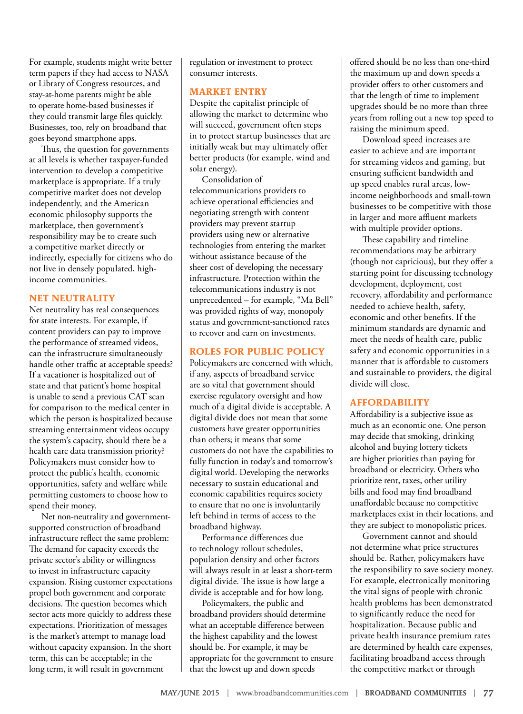For example, students might write better term papers if they had access to NASA or Library of Congress resources, and stay-at-home parents might be able to operate home-based businesses if they could transmit large files quickly. Businesses, too, rely on broadband that goes beyond smartphone apps.

Thus, the question for governments at all levels is whether taxpayer-funded intervention to develop a competitive marketplace is appropriate. If a truly competitive market does not develop independently, and the American economic philosophy supports the marketplace, then government's responsibility may be to create such a competitive market directly or indirectly, especially for citizens who do not live in densely populated, highincome communities.

#### **NET NEUTRALITY**

Net neutrality has real consequences for state interests. For example, if content providers can pay to improve the performance of streamed videos, can the infrastructure simultaneously handle other traffic at acceptable speeds? If a vacationer is hospitalized out of state and that patient's home hospital is unable to send a previous CAT scan for comparison to the medical center in which the person is hospitalized because streaming entertainment videos occupy the system's capacity, should there be a health care data transmission priority? Policymakers must consider how to protect the public's health, economic opportunities, safety and welfare while permitting customers to choose how to spend their money.

Net non-neutrality and governmentsupported construction of broadband infrastructure reflect the same problem: The demand for capacity exceeds the private sector's ability or willingness to invest in infrastructure capacity expansion. Rising customer expectations propel both government and corporate decisions. The question becomes which sector acts more quickly to address these expectations. Prioritization of messages is the market's attempt to manage load without capacity expansion. In the short term, this can be acceptable; in the long term, it will result in government

regulation or investment to protect consumer interests.

#### **MARKET ENTRY**

Despite the capitalist principle of allowing the market to determine who will succeed, government often steps in to protect startup businesses that are initially weak but may ultimately offer better products (for example, wind and solar energy).

Consolidation of telecommunications providers to achieve operational efficiencies and negotiating strength with content providers may prevent startup providers using new or alternative technologies from entering the market without assistance because of the sheer cost of developing the necessary infrastructure. Protection within the telecommunications industry is not unprecedented – for example, "Ma Bell" was provided rights of way, monopoly status and government-sanctioned rates to recover and earn on investments.

#### **ROLES FOR PUBLIC POLICY**

Policymakers are concerned with which, if any, aspects of broadband service are so vital that government should exercise regulatory oversight and how much of a digital divide is acceptable. A digital divide does not mean that some customers have greater opportunities than others; it means that some customers do not have the capabilities to fully function in today's and tomorrow's digital world. Developing the networks necessary to sustain educational and economic capabilities requires society to ensure that no one is involuntarily left behind in terms of access to the broadband highway.

Performance differences due to technology rollout schedules, population density and other factors will always result in at least a short-term digital divide. The issue is how large a divide is acceptable and for how long.

Policymakers, the public and broadband providers should determine what an acceptable difference between the highest capability and the lowest should be. For example, it may be appropriate for the government to ensure that the lowest up and down speeds

offered should be no less than one-third the maximum up and down speeds a provider offers to other customers and that the length of time to implement upgrades should be no more than three years from rolling out a new top speed to raising the minimum speed.

Download speed increases are easier to achieve and are important for streaming videos and gaming, but ensuring sufficient bandwidth and up speed enables rural areas, lowincome neighborhoods and small-town businesses to be competitive with those in larger and more affluent markets with multiple provider options.

These capability and timeline recommendations may be arbitrary (though not capricious), but they offer a starting point for discussing technology development, deployment, cost recovery, affordability and performance needed to achieve health, safety, economic and other benefits. If the minimum standards are dynamic and meet the needs of health care, public safety and economic opportunities in a manner that is affordable to customers and sustainable to providers, the digital divide will close.

### **AFFORDABILITY**

Affordability is a subjective issue as much as an economic one. One person may decide that smoking, drinking alcohol and buying lottery tickets are higher priorities than paying for broadband or electricity. Others who prioritize rent, taxes, other utility bills and food may find broadband unaffordable because no competitive marketplaces exist in their locations, and they are subject to monopolistic prices.

Government cannot and should not determine what price structures should be. Rather, policymakers have the responsibility to save society money. For example, electronically monitoring the vital signs of people with chronic health problems has been demonstrated to significantly reduce the need for hospitalization. Because public and private health insurance premium rates are determined by health care expenses, facilitating broadband access through the competitive market or through